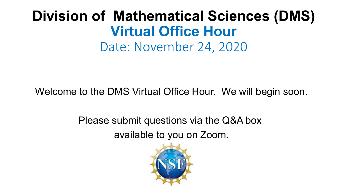## **Division of Mathematical Sciences (DMS) Virtual Office Hour** Date: November 24, 2020

Welcome to the DMS Virtual Office Hour. We will begin soon.

Please submit questions via the Q&A box available to you on Zoom.

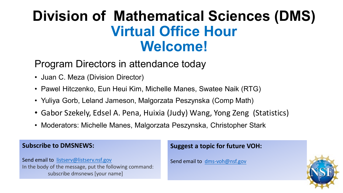## **Division of Mathematical Sciences (DMS) Virtual Office Hour Welcome!**

#### Program Directors in attendance today

- Juan C. Meza (Division Director)
- Pawel Hitczenko, Eun Heui Kim, Michelle Manes, Swatee Naik (RTG)
- Yuliya Gorb, Leland Jameson, Malgorzata Peszynska (Comp Math)
- Gabor Szekely, Edsel A. Pena, Huixia (Judy) Wang, Yong Zeng (Statistics)
- Moderators: Michelle Manes, Malgorzata Peszynska, Christopher Stark

#### **Subscribe to DMSNEWS:**

Send email to [listserv@listserv.nsf.gov](mailto:listserv@listserv.nsf.gov) In the body of the message, put the following command: subscribe dmsnews [your name]

#### **Suggest a topic for future VOH:**

Send email to [dms-voh@nsf.gov](mailto:dms-voh@nsf.gov)

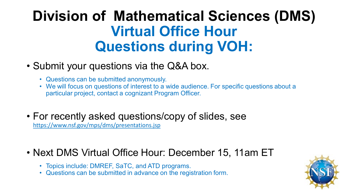# **Division of Mathematical Sciences (DMS) Virtual Office Hour Questions during VOH:**

#### • Submit your questions via the Q&A box.

- Questions can be submitted anonymously.
- We will focus on questions of interest to a wide audience. For specific questions about a particular project, contact a cognizant Program Officer.
- For recently asked questions/copy of slides, see <https://www.nsf.gov/mps/dms/presentations.jsp>

#### • Next DMS Virtual Office Hour: December 15, 11am ET

- Topics include: DMREF, SaTC, and ATD programs.
- Questions can be submitted in advance on the registration form.

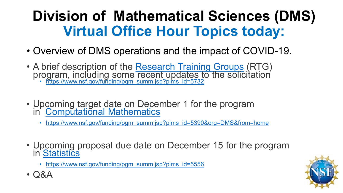# **Division of Mathematical Sciences (DMS) Virtual Office Hour Topics today:**

- Overview of DMS operations and the impact of COVID-19.
- A brief description of the Research Training Groups (RTG) program, including some [recent updates to the solic](https://www.nsf.gov/funding/pgm_summ.jsp?pims_id=5732)itation [https://www.nsf.gov/funding/pgm summ.jsp?pims id=5732](https://www.nsf.gov/funding/pgm_summ.jsp?pims_id=5732)
- Upcoming target date on December 1 for the program in' [Computational Mathematics](https://www.nsf.gov/funding/pgm_summ.jsp?pims_id=5390)
	- [https://www.nsf.gov/funding/pgm summ.jsp?pims id=5390&org=DMS&from=home](https://www.nsf.gov/funding/pgm_summ.jsp?pims_id=5390&org=DMS&from=home)
- Upcoming proposal due date on December 15 for the program in [Statistics](https://www.nsf.gov/funding/pgm_summ.jsp?pims_id=5556)
	- [https://www.nsf.gov/funding/pgm summ.jsp?pims id=5556](https://www.nsf.gov/funding/pgm_summ.jsp?pims_id=5556)



• Q&A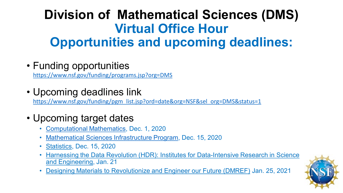## **Division of Mathematical Sciences (DMS) Virtual Office Hour Opportunities and upcoming deadlines:**

• Funding opportunities

<https://www.nsf.gov/funding/programs.jsp?org=DMS>

• Upcoming deadlines link

[https://www.nsf.gov/funding/pgm list.jsp?ord=date&org=NSF&sel org=DMS&status=1](https://www.nsf.gov/funding/pgm_list.jsp?ord=date&org=NSF&sel_org=DMS&status=1)

- Upcoming target dates
	- [Computational Mathematics,](https://www.nsf.gov/funding/pgm_summ.jsp?pims_id=5390&org=DMS&sel_org=DMS&from=fund) Dec. 1, 2020
	- [Mathematical Sciences Infrastructure Program,](https://www.nsf.gov/funding/pgm_summ.jsp?pims_id=12756&org=DMS&sel_org=DMS&from=fund) Dec. 15, 2020
	- [Statistics](https://www.nsf.gov/funding/pgm_summ.jsp?pims_id=5556&org=DMS&sel_org=DMS&from=fund), Dec. 15, 2020
	- [Harnessing the Data Revolution \(HDR\): Institutes for Data-Intensive Research in Science](https://www.nsf.gov/funding/pgm_summ.jsp?pims_id=505828&org=DMS&sel_org=DMS&from=fund) and Engineering, Jan. 21
	- [Designing Materials to Revolutionize and Engineer our Future \(DMREF\)](https://www.nsf.gov/funding/pgm_summ.jsp?pims_id=505073&org=DMS&sel_org=DMS&from=fund) Jan. 25, 2021

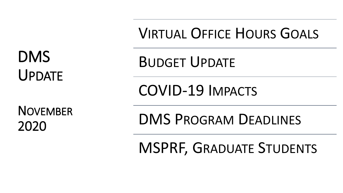DMS UPDATE

NOVEMBER 2020

VIRTUAL OFFICE HOURS GOALS

BUDGET UPDATE

COVID-19 IMPACTS

DMS PROGRAM DEADLINES

MSPRF, GRADUATE STUDENTS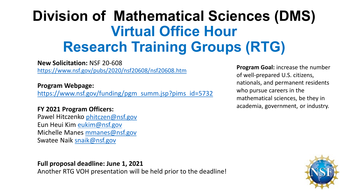# **Division of Mathematical Sciences (DMS) Virtual Office Hour Research Training Groups (RTG)**

**New Solicitation:** NSF 20-608 <https://www.nsf.gov/pubs/2020/nsf20608/nsf20608.htm>

**Program Webpage:**

[https://www.nsf.gov/funding/pgm summ.jsp?pims id=5732](https://www.nsf.gov/funding/pgm_summ.jsp?pims_id=5732)

#### **FY 2021 Program Officers:**

Pawel Hitczenko [phitczen@nsf.gov](mailto:phitczen@nsf.gov) Eun Heui Kim [eukim@nsf.gov](mailto:eukim@nsf.gov) Michelle Manes [mmanes@nsf.gov](mailto:mmanes@nsf.gov) Swatee Naik [snaik@nsf.gov](mailto:snaik@nsf.gov)

**Full proposal deadline: June 1, 2021** 

Another RTG VOH presentation will be held prior to the deadline!

**Program Goal:** increase the number of well-prepared U.S. citizens, nationals, and permanent residents who pursue careers in the mathematical sciences, be they in academia, government, or industry.

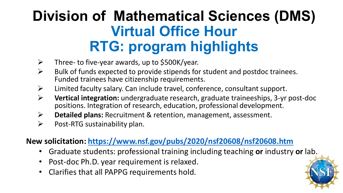# **Division of Mathematical Sciences (DMS) Virtual Office Hour RTG: program highlights**

- $\triangleright$  Three- to five-year awards, up to \$500K/year.
- $\triangleright$  Bulk of funds expected to provide stipends for student and postdoc trainees. Funded trainees have citizenship requirements.
- $\triangleright$  Limited faculty salary. Can include travel, conference, consultant support.
- **Vertical integration:** undergraduate research, graduate traineeships, 3-yr post-doc positions. Integration of research, education, professional development.
- **Detailed plans:** Recruitment & retention, management, assessment.
- $\triangleright$  Post-RTG sustainability plan.

#### **New solicitation:<https://www.nsf.gov/pubs/2020/nsf20608/nsf20608.htm>**

- Graduate students: professional training including teaching **or** industry **or** lab.
- Post-doc Ph.D. year requirement is relaxed.
- Clarifies that all PAPPG requirements hold.

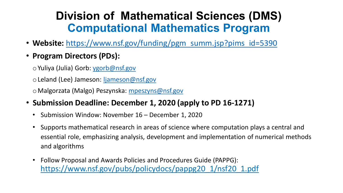## **Division of Mathematical Sciences (DMS) Computational Mathematics Program**

- **Website:** [https://www.nsf.gov/funding/pgm summ.jsp?pims id=5390](https://www.nsf.gov/funding/pgm_summ.jsp?pims_id=5390)
- **Program Directors (PDs):**
	- oYuliya (Julia) Gorb: [ygorb@nsf.gov](mailto:ygorb@nsf.gov)

oLeland (Lee) Jameson: [ljameson@nsf.gov](mailto:ljameson@nsf.gov)

oMalgorzata (Malgo) Peszynska: [mpeszyns@nsf.gov](mailto:mpeszyns@nsf.gov)

- **Submission Deadline: December 1, 2020 (apply to PD 16-1271)**
	- Submission Window: November 16 December 1, 2020
	- Supports mathematical research in areas of science where computation plays a central and essential role, emphasizing analysis, development and implementation of numerical methods and algorithms
	- Follow Proposal and Awards Policies and Procedures Guide (PAPPG): https://www.nsf.gov/pubs/policydocs/pappg20\_1/nsf20\_1.pdf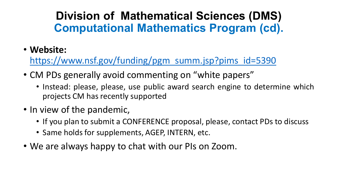## **Division of Mathematical Sciences (DMS) Computational Mathematics Program (cd).**

• **Website:**

[https://www.nsf.gov/funding/pgm summ.jsp?pims id=5390](https://www.nsf.gov/funding/pgm_summ.jsp?pims_id=5390)

- CM PDs generally avoid commenting on "white papers"
	- Instead: please, please, use public award search engine to determine which projects CM has recently supported
- In view of the pandemic,
	- If you plan to submit a CONFERENCE proposal, please, contact PDs to discuss
	- Same holds for supplements, AGEP, INTERN, etc.
- We are always happy to chat with our PIs on Zoom.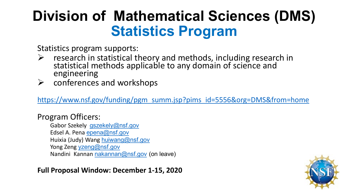## **Division of Mathematical Sciences (DMS) Statistics Program**

Statistics program supports:

- $\triangleright$  research in statistical theory and methods, including research in statistical methods applicable to any domain of science and engineering
- $\triangleright$  conferences and workshops

[https://www.nsf.gov/funding/pgm summ.jsp?pims id=5556&org=DMS&from=home](https://www.nsf.gov/funding/pgm_summ.jsp?pims_id=5556&org=DMS&from=home)

#### Program Officers:

Gabor Szekely [gszekely@nsf.gov](mailto:gszekely@nsf.gov) Edsel A. Pena [epena@nsf.gov](mailto:epena@nsf.gov) Huixia (Judy) Wang [huiwang@nsf.gov](mailto:huiwang@nsf.gov) Yong Zeng [yzeng@nsf.gov](mailto:yzeng@nsf.gov) Nandini Kannan [nakannan@nsf.gov](mailto:nakannan@nsf.gov) (on leave)

**Full Proposal Window: December 1-15, 2020**

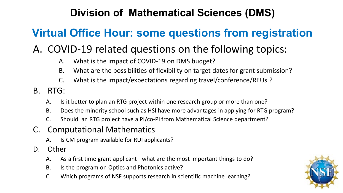### **Division of Mathematical Sciences (DMS)**

## **Virtual Office Hour: some questions from registration**

### A. COVID-19 related questions on the following topics:

- A. What is the impact of COVID-19 on DMS budget?
- B. What are the possibilities of flexibility on target dates for grant submission?
- C. What is the impact/expectations regarding travel/conference/REUs ?
- B. RTG:
	- A. Is it better to plan an RTG project within one research group or more than one?
	- B. Does the minority school such as HSI have more advantages in applying for RTG program?
	- C. Should an RTG project have a PI/co-PI from Mathematical Science department?

#### C. Computational Mathematics

- A. Is CM program available for RUI applicants?
- D. Other
	- A. As a first time grant applicant what are the most important things to do?
	- B. Is the program on Optics and Photonics active?
	- C. Which programs of NSF supports research in scientific machine learning?